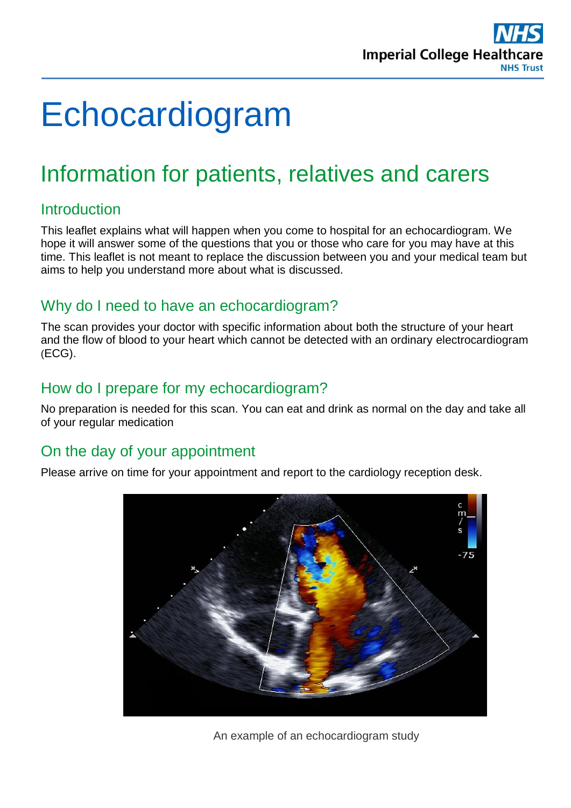

# Echocardiogram

# Information for patients, relatives and carers

# Introduction

This leaflet explains what will happen when you come to hospital for an echocardiogram. We hope it will answer some of the questions that you or those who care for you may have at this time. This leaflet is not meant to replace the discussion between you and your medical team but aims to help you understand more about what is discussed.

## Why do I need to have an echocardiogram?

The scan provides your doctor with specific information about both the structure of your heart and the flow of blood to your heart which cannot be detected with an ordinary electrocardiogram (ECG).

# How do I prepare for my echocardiogram?

No preparation is needed for this scan. You can eat and drink as normal on the day and take all of your regular medication

# On the day of your appointment

Please arrive on time for your appointment and report to the cardiology reception desk.



An example of an echocardiogram study